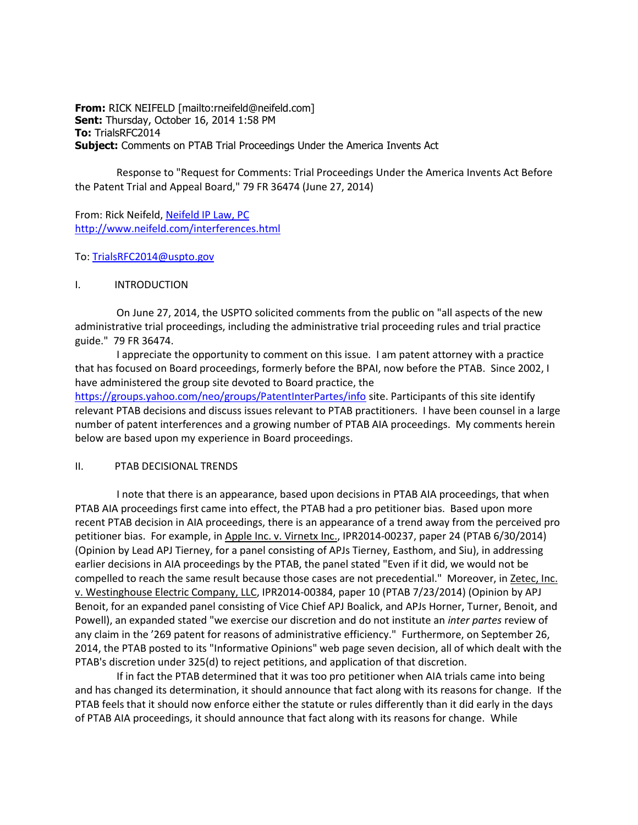**From:** RICK NEIFELD [mailto:rneifeld@neifeld.com] **Sent:** Thursday, October 16, 2014 1:58 PM **To:** TrialsRFC2014 **Subject:** Comments on PTAB Trial Proceedings Under the America Invents Act

 Response to "Request for Comments: Trial Proceedings Under the America Invents Act Before the Patent Trial and Appeal Board," 79 FR 36474 (June 27, 2014)

From: Rick Neifeld, [Neifeld IP Law, PC](http://www.neifeld.com/interferences.html) <http://www.neifeld.com/interferences.html>

To[: TrialsRFC2014@uspto.gov](mailto:TrialsRFC2014@uspto.gov)

### I. INTRODUCTION

 On June 27, 2014, the USPTO solicited comments from the public on "all aspects of the new administrative trial proceedings, including the administrative trial proceeding rules and trial practice guide." 79 FR 36474.

 I appreciate the opportunity to comment on this issue. I am patent attorney with a practice that has focused on Board proceedings, formerly before the BPAI, now before the PTAB. Since 2002, I have administered the group site devoted to Board practice, the <https://groups.yahoo.com/neo/groups/PatentInterPartes/info> site. Participants of this site identify relevant PTAB decisions and discuss issues relevant to PTAB practitioners. I have been counsel in a large number of patent interferences and a growing number of PTAB AIA proceedings. My comments herein below are based upon my experience in Board proceedings.

#### II. PTAB DECISIONAL TRENDS

 I note that there is an appearance, based upon decisions in PTAB AIA proceedings, that when PTAB AIA proceedings first came into effect, the PTAB had a pro petitioner bias. Based upon more recent PTAB decision in AIA proceedings, there is an appearance of a trend away from the perceived pro petitioner bias. For example, in Apple Inc. v. Virnetx Inc., IPR2014-00237, paper 24 (PTAB 6/30/2014) (Opinion by Lead APJ Tierney, for a panel consisting of APJs Tierney, Easthom, and Siu), in addressing earlier decisions in AIA proceedings by the PTAB, the panel stated "Even if it did, we would not be compelled to reach the same result because those cases are not precedential." Moreover, in Zetec, Inc. v. Westinghouse Electric Company, LLC, IPR2014-00384, paper 10 (PTAB 7/23/2014) (Opinion by APJ Benoit, for an expanded panel consisting of Vice Chief APJ Boalick, and APJs Horner, Turner, Benoit, and Powell), an expanded stated "we exercise our discretion and do not institute an *inter partes* review of any claim in the '269 patent for reasons of administrative efficiency." Furthermore, on September 26, 2014, the PTAB posted to its "Informative Opinions" web page seven decision, all of which dealt with the PTAB's discretion under 325(d) to reject petitions, and application of that discretion.

 If in fact the PTAB determined that it was too pro petitioner when AIA trials came into being and has changed its determination, it should announce that fact along with its reasons for change. If the PTAB feels that it should now enforce either the statute or rules differently than it did early in the days of PTAB AIA proceedings, it should announce that fact along with its reasons for change. While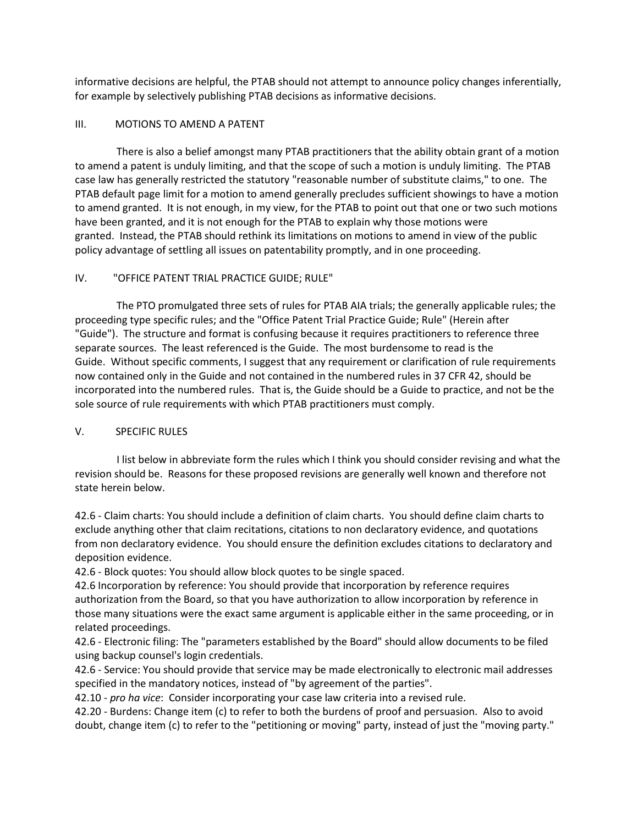informative decisions are helpful, the PTAB should not attempt to announce policy changes inferentially, for example by selectively publishing PTAB decisions as informative decisions.

### III. MOTIONS TO AMEND A PATENT

 There is also a belief amongst many PTAB practitioners that the ability obtain grant of a motion to amend a patent is unduly limiting, and that the scope of such a motion is unduly limiting. The PTAB case law has generally restricted the statutory "reasonable number of substitute claims," to one. The PTAB default page limit for a motion to amend generally precludes sufficient showings to have a motion to amend granted. It is not enough, in my view, for the PTAB to point out that one or two such motions have been granted, and it is not enough for the PTAB to explain why those motions were granted. Instead, the PTAB should rethink its limitations on motions to amend in view of the public policy advantage of settling all issues on patentability promptly, and in one proceeding.

# IV. "OFFICE PATENT TRIAL PRACTICE GUIDE; RULE"

 The PTO promulgated three sets of rules for PTAB AIA trials; the generally applicable rules; the proceeding type specific rules; and the "Office Patent Trial Practice Guide; Rule" (Herein after "Guide"). The structure and format is confusing because it requires practitioners to reference three separate sources. The least referenced is the Guide. The most burdensome to read is the Guide. Without specific comments, I suggest that any requirement or clarification of rule requirements now contained only in the Guide and not contained in the numbered rules in 37 CFR 42, should be incorporated into the numbered rules. That is, the Guide should be a Guide to practice, and not be the sole source of rule requirements with which PTAB practitioners must comply.

# V. SPECIFIC RULES

 I list below in abbreviate form the rules which I think you should consider revising and what the revision should be. Reasons for these proposed revisions are generally well known and therefore not state herein below.

42.6 - Claim charts: You should include a definition of claim charts. You should define claim charts to exclude anything other that claim recitations, citations to non declaratory evidence, and quotations from non declaratory evidence. You should ensure the definition excludes citations to declaratory and deposition evidence.

42.6 - Block quotes: You should allow block quotes to be single spaced.

42.6 Incorporation by reference: You should provide that incorporation by reference requires authorization from the Board, so that you have authorization to allow incorporation by reference in those many situations were the exact same argument is applicable either in the same proceeding, or in related proceedings.

42.6 - Electronic filing: The "parameters established by the Board" should allow documents to be filed using backup counsel's login credentials.

42.6 - Service: You should provide that service may be made electronically to electronic mail addresses specified in the mandatory notices, instead of "by agreement of the parties".

42.10 - *pro ha vice*: Consider incorporating your case law criteria into a revised rule.

42.20 - Burdens: Change item (c) to refer to both the burdens of proof and persuasion. Also to avoid doubt, change item (c) to refer to the "petitioning or moving" party, instead of just the "moving party."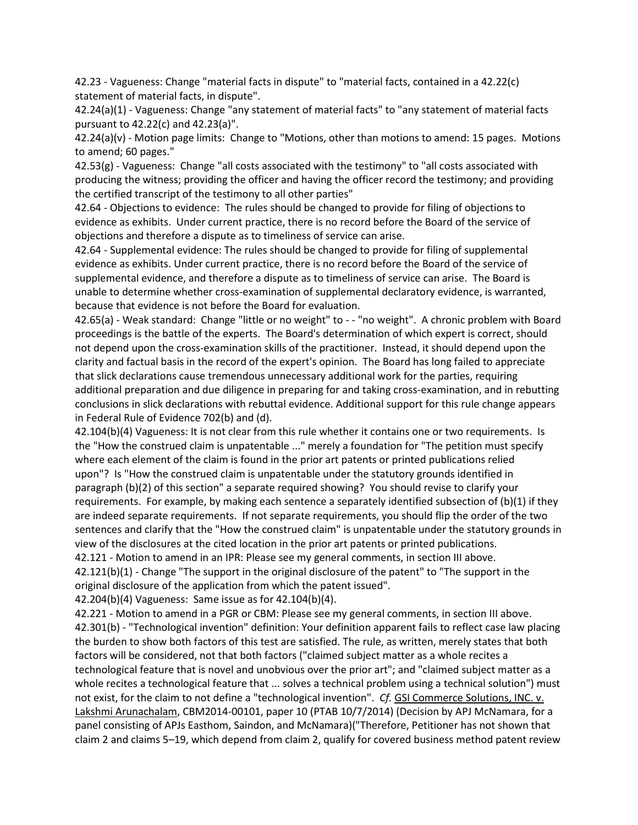42.23 - Vagueness: Change "material facts in dispute" to "material facts, contained in a 42.22(c) statement of material facts, in dispute".

42.24(a)(1) - Vagueness: Change "any statement of material facts" to "any statement of material facts pursuant to 42.22(c) and 42.23(a)".

42.24(a)(v) - Motion page limits: Change to "Motions, other than motions to amend: 15 pages. Motions to amend; 60 pages."

42.53(g) - Vagueness: Change "all costs associated with the testimony" to "all costs associated with producing the witness; providing the officer and having the officer record the testimony; and providing the certified transcript of the testimony to all other parties"

42.64 - Objections to evidence: The rules should be changed to provide for filing of objections to evidence as exhibits. Under current practice, there is no record before the Board of the service of objections and therefore a dispute as to timeliness of service can arise.

42.64 - Supplemental evidence: The rules should be changed to provide for filing of supplemental evidence as exhibits. Under current practice, there is no record before the Board of the service of supplemental evidence, and therefore a dispute as to timeliness of service can arise. The Board is unable to determine whether cross-examination of supplemental declaratory evidence, is warranted, because that evidence is not before the Board for evaluation.

42.65(a) - Weak standard: Change "little or no weight" to - - "no weight". A chronic problem with Board proceedings is the battle of the experts. The Board's determination of which expert is correct, should not depend upon the cross-examination skills of the practitioner. Instead, it should depend upon the clarity and factual basis in the record of the expert's opinion. The Board has long failed to appreciate that slick declarations cause tremendous unnecessary additional work for the parties, requiring additional preparation and due diligence in preparing for and taking cross-examination, and in rebutting conclusions in slick declarations with rebuttal evidence. Additional support for this rule change appears in Federal Rule of Evidence 702(b) and (d).

42.104(b)(4) Vagueness: It is not clear from this rule whether it contains one or two requirements. Is the "How the construed claim is unpatentable ..." merely a foundation for "The petition must specify where each element of the claim is found in the prior art patents or printed publications relied upon"? Is "How the construed claim is unpatentable under the statutory grounds identified in paragraph (b)(2) of this section" a separate required showing? You should revise to clarify your requirements. For example, by making each sentence a separately identified subsection of (b)(1) if they are indeed separate requirements. If not separate requirements, you should flip the order of the two sentences and clarify that the "How the construed claim" is unpatentable under the statutory grounds in view of the disclosures at the cited location in the prior art patents or printed publications.

42.121 - Motion to amend in an IPR: Please see my general comments, in section III above. 42.121(b)(1) - Change "The support in the original disclosure of the patent" to "The support in the original disclosure of the application from which the patent issued".

42.204(b)(4) Vagueness: Same issue as for 42.104(b)(4).

42.221 - Motion to amend in a PGR or CBM: Please see my general comments, in section III above. 42.301(b) - "Technological invention" definition: Your definition apparent fails to reflect case law placing the burden to show both factors of this test are satisfied. The rule, as written, merely states that both factors will be considered, not that both factors ("claimed subject matter as a whole recites a technological feature that is novel and unobvious over the prior art"; and "claimed subject matter as a whole recites a technological feature that ... solves a technical problem using a technical solution") must not exist, for the claim to not define a "technological invention". *Cf.* GSI Commerce Solutions, INC. v. Lakshmi Arunachalam, CBM2014-00101, paper 10 (PTAB 10/7/2014) (Decision by APJ McNamara, for a panel consisting of APJs Easthom, Saindon, and McNamara)("Therefore, Petitioner has not shown that claim 2 and claims 5–19, which depend from claim 2, qualify for covered business method patent review